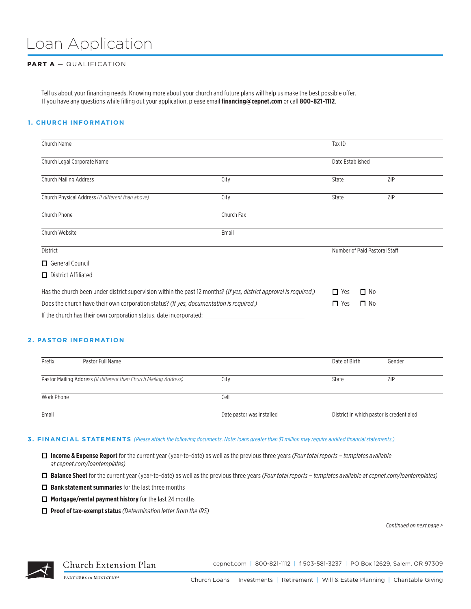# Loan Application

## PART A - QUALIFICATION

Tell us about your financing needs. Knowing more about your church and future plans will help us make the best possible offer. If you have any questions while filling out your application, please email **financing@cepnet.com** or call **800-821-1112**.

## **1. CHURCH INFORMATION**

| Church Name                                                                                                        |            | Tax ID           |                               |  |
|--------------------------------------------------------------------------------------------------------------------|------------|------------------|-------------------------------|--|
| Church Legal Corporate Name                                                                                        |            | Date Established |                               |  |
| <b>Church Mailing Address</b>                                                                                      | City       | State            | <b>ZIP</b>                    |  |
| Church Physical Address (If different than above)                                                                  | City       | State            | ZIP                           |  |
| Church Phone                                                                                                       | Church Fax |                  |                               |  |
| Church Website                                                                                                     | Email      |                  |                               |  |
| <b>District</b>                                                                                                    |            |                  | Number of Paid Pastoral Staff |  |
| $\Box$ General Council                                                                                             |            |                  |                               |  |
| $\Box$ District Affiliated                                                                                         |            |                  |                               |  |
| Has the church been under district supervision within the past 12 months? (If yes, district approval is required.) |            | $\Box$ Yes       | $\Box$ No                     |  |
| Does the church have their own corporation status? (If yes, documentation is required.)                            |            | $\Box$ Yes       | $\Box$ No                     |  |
| If the church has their own corporation status, date incorporated:                                                 |            |                  |                               |  |

#### **2. PASTOR INFORMATION**

| Prefix     | Pastor Full Name                                                  |                           | Date of Birth                            | Gender |
|------------|-------------------------------------------------------------------|---------------------------|------------------------------------------|--------|
|            | Pastor Mailing Address (If different than Church Mailing Address) | City                      | State                                    | ZIP    |
| Work Phone |                                                                   | Cell                      |                                          |        |
| Email      |                                                                   | Date pastor was installed | District in which pastor is credentialed |        |

#### **3. FINANCIAL STATEMENTS** *(Please attach the following documents. Note: loans greater than \$1 million may require audited financial statements.)*

- ¨ **Income & Expense Report** for the current year (year-to-date) as well as the previous three years *(Four total reports templates available at cepnet.com/loantemplates)*
- ¨ **Balance Sheet** for the current year (year-to-date) as well as the previous three years *(Four total reports templates available at cepnet.com/loantemplates)*
- □ **Bank statement summaries** for the last three months
- □ **Mortgage/rental payment history** for the last 24 months
- ¨ **Proof of tax-exempt status** *(Determination letter from the IRS)*

*Continued on next page >*



Church Extension Plan

cepnet.com | 800-821-1112 | f 503-581-3237 | PO Box 12629, Salem, OR 97309

PARTNERS in MINISTRY®

Church Loans | Investments | Retirement | Will & Estate Planning | Charitable Giving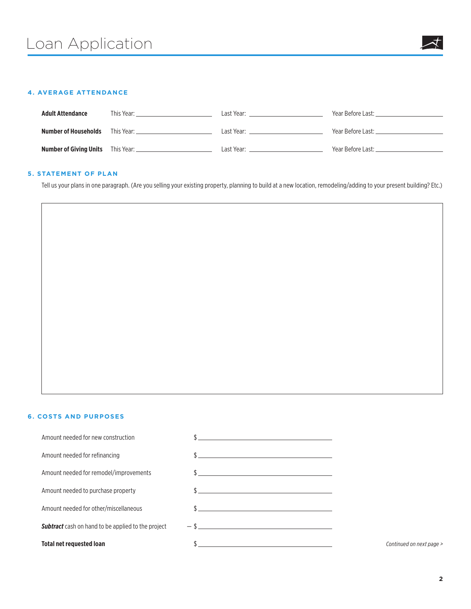## **4. AVERAGE ATTENDANCE**

| <b>Adult Attendance</b>                  | This Year: ' | Last Year: | Year Before Last:    |
|------------------------------------------|--------------|------------|----------------------|
| Number of Households                     | This Year: _ | Last Year: | Year Before Last: __ |
| <b>Number of Giving Units</b> This Year: |              | Last Year: | Year Before Last:    |

# **5. STATEMENT OF PLAN**

Tell us your plans in one paragraph. (Are you selling your existing property, planning to build at a new location, remodeling/adding to your present building? Etc.)

#### **6. COSTS AND PURPOSES**

| <b>Total net requested loan</b>                           | <u> 1989 - Johann Harry Harry Harry Harry Harry Harry Harry Harry Harry Harry Harry Harry Harry Harry Harry Harry</u> |
|-----------------------------------------------------------|-----------------------------------------------------------------------------------------------------------------------|
| <b>Subtract</b> cash on hand to be applied to the project |                                                                                                                       |
| Amount needed for other/miscellaneous                     | $\frac{1}{2}$                                                                                                         |
| Amount needed to purchase property                        |                                                                                                                       |
| Amount needed for remodel/improvements                    | $\frac{1}{2}$                                                                                                         |
| Amount needed for refinancing                             | $\frac{1}{2}$                                                                                                         |
| Amount needed for new construction                        | <u> 1989 - Johann Barn, mars ann an t-Amhain Aonaich an t-Aonaich an t-Aonaich ann an t-Aonaich ann an t-Aonaich</u>  |

**Continued on next page >**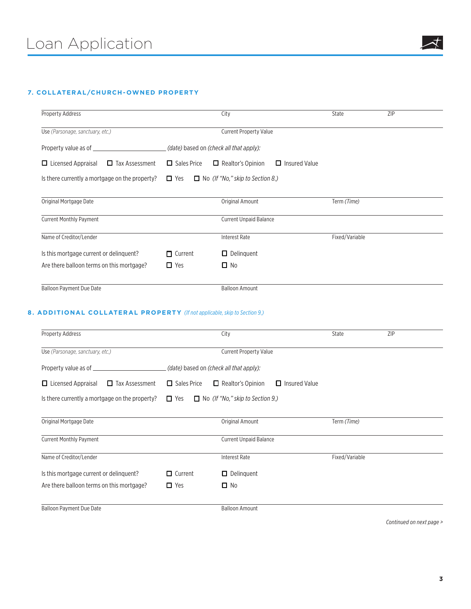# **7. COLLATERAL/CHURCH-OWNED PROPERTY**

| Property Address                                   |                                         | City                                             | State          | ZIP |
|----------------------------------------------------|-----------------------------------------|--------------------------------------------------|----------------|-----|
| Use (Parsonage, sanctuary, etc.)                   | <b>Current Property Value</b>           |                                                  |                |     |
|                                                    | (date) based on (check all that apply): |                                                  |                |     |
| $\Box$ Licensed Appraisal<br>$\Box$ Tax Assessment | $\Box$ Sales Price                      | $\Box$ Realtor's Opinion<br>$\Box$ Insured Value |                |     |
| Is there currently a mortgage on the property?     | $\Box$ Yes                              | $\Box$ No (If "No," skip to Section 8.)          |                |     |
| Original Mortgage Date                             |                                         | <b>Original Amount</b>                           | Term (Time)    |     |
| <b>Current Monthly Payment</b>                     |                                         | <b>Current Unpaid Balance</b>                    |                |     |
| Name of Creditor/Lender                            |                                         | <b>Interest Rate</b>                             | Fixed/Variable |     |
| Is this mortgage current or delinguent?            | $\blacksquare$ Current                  | $\Box$ Delinguent                                |                |     |
| Are there balloon terms on this mortgage?          | $\Box$ Yes                              | $\Box$ No                                        |                |     |
| <b>Balloon Payment Due Date</b>                    |                                         | <b>Balloon Amount</b>                            |                |     |

## **8. ADDITIONAL COLLATERAL PROPERTY** *(If not applicable, skip to Section 9.)*

| Property Address                                   |                                         | City                                             | State          | ZIP |
|----------------------------------------------------|-----------------------------------------|--------------------------------------------------|----------------|-----|
| Use (Parsonage, sanctuary, etc.)                   | <b>Current Property Value</b>           |                                                  |                |     |
| Property value as of _________                     | (date) based on (check all that apply): |                                                  |                |     |
| $\Box$ Licensed Appraisal<br>$\Box$ Tax Assessment | $\Box$ Sales Price                      | $\Box$ Insured Value<br>$\Box$ Realtor's Opinion |                |     |
| Is there currently a mortgage on the property?     | $\Box$ Yes                              | $\Box$ No (If "No," skip to Section 9.)          |                |     |
| Original Mortgage Date                             |                                         | Original Amount                                  | Term (Time)    |     |
| <b>Current Monthly Payment</b>                     |                                         | <b>Current Unpaid Balance</b>                    |                |     |
| Name of Creditor/Lender                            |                                         | <b>Interest Rate</b>                             | Fixed/Variable |     |
| Is this mortgage current or delinquent?            | $\Box$ Current                          | $\Box$ Delinguent                                |                |     |
| Are there balloon terms on this mortgage?          | $\Box$ Yes                              | $\Box$ No                                        |                |     |
| <b>Balloon Payment Due Date</b>                    |                                         | <b>Balloon Amount</b>                            |                |     |

*Continued on next page >*